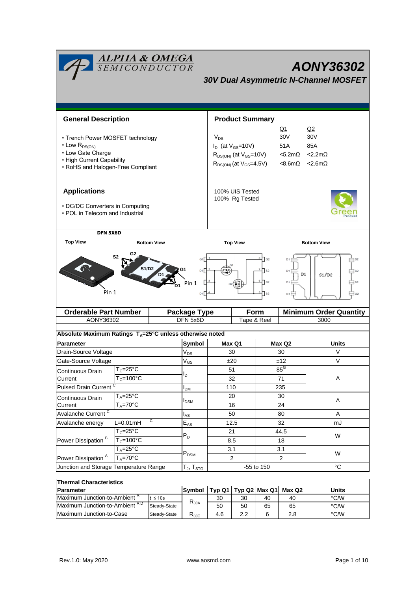| <b>ALPHA &amp; OMEGA</b><br>SEMICONDUCTOR<br>AONY36302<br><b>30V Dual Asymmetric N-Channel MOSFET</b> |                                              |           |                                   |                                                      |                        |            |                                                |                               |  |  |
|-------------------------------------------------------------------------------------------------------|----------------------------------------------|-----------|-----------------------------------|------------------------------------------------------|------------------------|------------|------------------------------------------------|-------------------------------|--|--|
|                                                                                                       |                                              |           |                                   |                                                      |                        |            |                                                |                               |  |  |
| <b>General Description</b>                                                                            |                                              |           |                                   |                                                      | <b>Product Summary</b> |            |                                                |                               |  |  |
|                                                                                                       |                                              |           |                                   |                                                      |                        |            | Q2<br>Q1<br>30 <sub>V</sub><br>30 <sub>V</sub> |                               |  |  |
| • Trench Power MOSFET technology<br>$\cdot$ Low $R_{DS(ON)}$                                          |                                              |           |                                   | $V_{DS}$<br>$I_D$ (at $V_{GS}$ =10V)                 |                        |            | 51A                                            | 85A                           |  |  |
| • Low Gate Charge                                                                                     |                                              |           |                                   | $R_{DS(ON)}$ (at $V_{GS}$ =10V)<br>$<$ 5.2m $\Omega$ |                        |            | $<$ 2.2m $\Omega$                              |                               |  |  |
| • High Current Capability                                                                             |                                              |           |                                   |                                                      |                        |            | <8.6mΩ                                         | $< 2.6m\Omega$                |  |  |
| • RoHS and Halogen-Free Compliant                                                                     |                                              |           |                                   | $R_{DS(ON)}$ (at $V_{GS}$ =4.5V)                     |                        |            |                                                |                               |  |  |
| <b>Applications</b>                                                                                   |                                              |           |                                   | 100% UIS Tested<br>100% Rg Tested                    |                        |            |                                                |                               |  |  |
| • DC/DC Converters in Computing                                                                       |                                              |           |                                   |                                                      |                        |            |                                                |                               |  |  |
| • POL in Telecom and Industrial                                                                       |                                              |           |                                   |                                                      |                        |            |                                                |                               |  |  |
| DFN 5X6D                                                                                              |                                              |           |                                   |                                                      |                        |            |                                                |                               |  |  |
| <b>Top View</b>                                                                                       | <b>Bottom View</b>                           |           | <b>Top View</b>                   |                                                      |                        |            | <b>Bottom View</b>                             |                               |  |  |
| G <sub>2</sub><br>S <sub>2</sub><br><b>S1/D2</b><br>G1<br>D1<br>Pin 1<br>Pin 1<br>D <sub>1</sub>      |                                              |           |                                   | $\overline{\phantom{a}}$ G2<br>$ _{s2}$              |                        |            | D1<br>S1/D2<br>D <sub>1</sub>                  |                               |  |  |
| <b>Orderable Part Number</b>                                                                          |                                              |           | <b>Package Type</b>               |                                                      | <b>Form</b>            |            |                                                | <b>Minimum Order Quantity</b> |  |  |
| AONY36302                                                                                             | DFN 5x6D                                     |           | Tape & Reel                       |                                                      |                        | 3000       |                                                |                               |  |  |
| Absolute Maximum Ratings T <sub>A</sub> =25°C unless otherwise noted                                  |                                              |           |                                   |                                                      |                        |            |                                                |                               |  |  |
| <b>Parameter</b>                                                                                      |                                              |           | Symbol                            | Max Q1                                               |                        |            | Max Q2                                         | Units                         |  |  |
| Drain-Source Voltage                                                                                  |                                              |           | $V_{DS}$                          | 30                                                   |                        |            | 30                                             | V                             |  |  |
|                                                                                                       | Gate-Source Voltage                          |           | $V_{GS}$                          | ±20                                                  |                        | ±12        |                                                | V                             |  |  |
| Continuous Drain                                                                                      | $T_c = 25$ °C                                |           | ı,                                | 51                                                   |                        | $85^G$     |                                                | Α                             |  |  |
| Current                                                                                               | $T_c = 100^{\circ}C$                         |           |                                   | 32<br>110                                            |                        |            | 71<br>235                                      |                               |  |  |
|                                                                                                       | <b>Pulsed Drain Current</b><br>$T_A = 25$ °C |           | $I_{DM}$                          | 20                                                   |                        |            | 30                                             |                               |  |  |
| Continuous Drain<br>$T_A = 70$ °C<br>Current                                                          |                                              | $I_{DSM}$ | 16                                |                                                      | 24                     |            | A                                              |                               |  |  |
| Avalanche Current <sup>C</sup>                                                                        |                                              | $I_{AS}$  | 50<br>80                          |                                                      |                        | Α          |                                                |                               |  |  |
| C<br>$L=0.01mH$<br>Avalanche energy                                                                   |                                              | $E_{AS}$  | 12.5                              |                                                      | 32                     |            | mJ                                             |                               |  |  |
|                                                                                                       | $T_c = 25$ °C                                |           | $P_D$                             | 21                                                   |                        |            | 44.5                                           | W                             |  |  |
| Power Dissipation <sup>B</sup>                                                                        | $T_c = 100^{\circ}C$                         |           |                                   | 8.5                                                  |                        | 18         |                                                |                               |  |  |
|                                                                                                       | $T_A = 25$ °C                                |           | $\mathsf{P}_\mathsf{DSM}$         | 3.1                                                  |                        | 3.1        |                                                | W                             |  |  |
| $T_A = 70^\circ C$<br>Power Dissipation <sup>A</sup>                                                  |                                              |           | $\overline{2}$                    |                                                      | $\mathbf{2}$           |            |                                                |                               |  |  |
| Junction and Storage Temperature Range                                                                |                                              |           | T <sub>J</sub> , T <sub>STG</sub> |                                                      |                        | -55 to 150 |                                                | °C                            |  |  |
| <b>Thermal Characteristics</b>                                                                        |                                              |           |                                   |                                                      |                        |            |                                                |                               |  |  |

| בטוופו ווומו טוומו מטנפו ושנוט           |               |                        |               |     |        |       |      |  |
|------------------------------------------|---------------|------------------------|---------------|-----|--------|-------|------|--|
| <b>IParameter</b>                        | <b>Symbol</b> | Tvp Q1                 | Tvp Q2 Max Q1 |     | Max Q2 | Units |      |  |
| Maximum Junction-to-Ambient <sup>"</sup> | $\leq 10s$    | $R_{\theta$ JA         | 30            | 30  | 40     | 40    | °C/W |  |
| Maximum Junction-to-Ambient AD           | Steady-State  |                        | 50            | 50  | 65     | 65    | °C/W |  |
| Maximum Junction-to-Case                 | Steady-State  | D<br>Ւ <sub>θ</sub> კე | 4.6           | 2.2 | 6      | 2.8   | °C/W |  |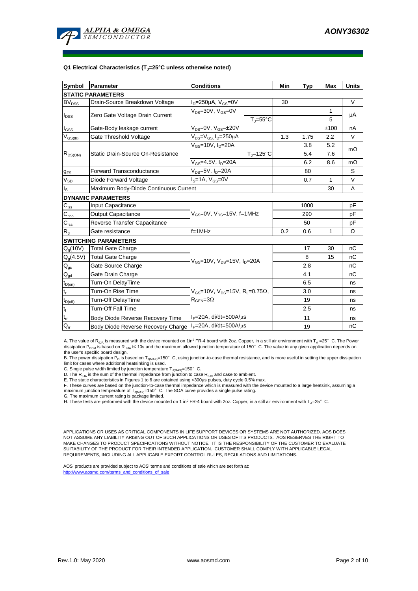

#### **Q1 Electrical Characteristics (TJ=25°C unless otherwise noted)**

| Symbol                                  | Parameter                             | <b>Conditions</b>                                                                                         |                     |     | <b>Typ</b> | Max  | <b>Units</b> |  |  |
|-----------------------------------------|---------------------------------------|-----------------------------------------------------------------------------------------------------------|---------------------|-----|------------|------|--------------|--|--|
| <b>STATIC PARAMETERS</b>                |                                       |                                                                                                           |                     |     |            |      |              |  |  |
| <b>BV<sub>DSS</sub></b>                 | Drain-Source Breakdown Voltage        | $I_D = 250 \mu A$ , $V_{GS} = 0V$                                                                         |                     | 30  |            |      | V            |  |  |
| $I_{DSS}$                               | Zero Gate Voltage Drain Current       | $V_{DS}$ =30V, $V_{GS}$ =0V                                                                               |                     |     |            | 1    | μA           |  |  |
|                                         |                                       |                                                                                                           | $T_J = 55^{\circ}C$ |     |            | 5    |              |  |  |
| $I_{GSS}$                               | Gate-Body leakage current             | $V_{DS} = 0V$ , $V_{GS} = \pm 20V$                                                                        |                     |     |            | ±100 | nA           |  |  |
| $\mathsf{V}_{\mathsf{GS}(\mathsf{th})}$ | Gate Threshold Voltage                | $V_{DS} = V_{GS}$ , $I_D = 250 \mu A$                                                                     |                     | 1.3 | 1.75       | 2.2  | V            |  |  |
|                                         |                                       | $V_{GS}$ =10V, $I_D$ =20A                                                                                 |                     |     | 3.8        | 5.2  |              |  |  |
| $R_{DS(ON)}$                            | Static Drain-Source On-Resistance     |                                                                                                           | $TJ=125°C$          |     | 5.4        | 7.6  | $m\Omega$    |  |  |
|                                         |                                       | $V_{GS}$ =4.5V, $I_D$ =20A                                                                                |                     |     | 6.2        | 8.6  | $m\Omega$    |  |  |
| $g_{FS}$                                | <b>Forward Transconductance</b>       | $V_{DS}=5V$ , $I_D=20A$                                                                                   |                     |     | 80         |      | S            |  |  |
| $V_{SD}$                                | Diode Forward Voltage                 | $IS=1A, VGS=0V$                                                                                           |                     |     | 0.7        | 1    | $\vee$       |  |  |
| $I_{\rm S}$                             | Maximum Body-Diode Continuous Current |                                                                                                           |                     |     | 30         | A    |              |  |  |
| <b>DYNAMIC PARAMETERS</b>               |                                       |                                                                                                           |                     |     |            |      |              |  |  |
| $C_{\text{iss}}$                        | Input Capacitance                     |                                                                                                           |                     |     | 1000       |      | pF           |  |  |
| $C_{\rm oss}$                           | <b>Output Capacitance</b>             | $V_{GS}=$ 0V, $V_{DS}=$ 15V, f=1MHz                                                                       |                     | 290 |            | pF   |              |  |  |
| $C_{\text{rss}}$                        | Reverse Transfer Capacitance          |                                                                                                           |                     | 50  |            | pF   |              |  |  |
| R <sub>g</sub>                          | Gate resistance                       | $f=1$ MHz                                                                                                 | 0.2                 | 0.6 | 1          | Ω    |              |  |  |
|                                         | <b>SWITCHING PARAMETERS</b>           |                                                                                                           |                     |     |            |      |              |  |  |
| $Q_q(10V)$                              | <b>Total Gate Charge</b>              |                                                                                                           |                     |     | 17         | 30   | nC           |  |  |
| $Q_g(4.5V)$                             | <b>Total Gate Charge</b>              | $V_{\text{GS}} = 10V$ , $V_{\text{DS}} = 15V$ , $I_{\text{D}} = 20A$                                      |                     | 8   | 15         | nC   |              |  |  |
| $\mathsf{Q}_{\mathsf{gs}}$              | Gate Source Charge                    |                                                                                                           |                     | 2.8 |            | nC   |              |  |  |
| $\mathsf{Q}_{\underline{\text{gd}}}$    | Gate Drain Charge                     |                                                                                                           |                     | 4.1 |            | nC   |              |  |  |
| $t_{D(0n)}$                             | Turn-On DelayTime                     |                                                                                                           |                     |     | 6.5        |      | ns           |  |  |
| $t_r$                                   | Turn-On Rise Time                     | $V_{\text{GS}}$ =10V, $V_{\text{DS}}$ =15V, R <sub>1</sub> =0.75 $\Omega$ ,<br>$R_{\text{GEN}} = 3\Omega$ |                     |     | 3.0        |      | ns           |  |  |
| $t_{D(off)}$                            | Turn-Off DelayTime                    |                                                                                                           |                     |     | 19         |      | ns           |  |  |
| $\mathsf{t}_{\mathsf{f}}$               | Turn-Off Fall Time                    |                                                                                                           |                     | 2.5 |            | ns   |              |  |  |
| $t_{rr}$                                | Body Diode Reverse Recovery Time      | $I_F = 20A$ , di/dt=500A/ $\mu$ s                                                                         |                     |     | 11         |      | ns           |  |  |
| $Q_{rr}$                                | Body Diode Reverse Recovery Charge    | $I_F = 20A$ , di/dt=500A/ $\mu$ s                                                                         |                     |     | 19         |      | nC           |  |  |

A. The value of R<sub>AJA</sub> is measured with the device mounted on 1in<sup>2</sup> FR-4 board with 2oz. Copper, in a still air environment with T<sub>A</sub> =25°C. The Power dissipation P<sub>DSM</sub> is based on R <sub>GJA</sub> t≤ 10s and the maximum allowed junction temperature of 150°C. The value in any given application depends on the user's specific board design.

B. The power dissipation P<sub>D</sub> is based on T<sub>J(MAX)</sub>=150°C, using junction-to-case thermal resistance, and is more useful in setting the upper dissipation<br>limit for cases where additional heatsinking is used.

C. Single pulse width limited by junction temperature  $T_{J(MAX)}$ =150°C.

D. The  $R_{\theta JA}$  is the sum of the thermal impedance from junction to case  $R_{\theta JC}$  and case to ambient.

E. The static characteristics in Figures 1 to 6 are obtained using <300µs pulses, duty cycle 0.5% max.<br>F. These curves are based on the junction-to-case thermal impedance which is measured with the device mounted to a larg

H. These tests are performed with the device mounted on 1 in<sup>2</sup> FR-4 board with 2oz. Copper, in a still air environment with T<sub>A</sub>=25°C.

APPLICATIONS OR USES AS CRITICAL COMPONENTS IN LIFE SUPPORT DEVICES OR SYSTEMS ARE NOT AUTHORIZED. AOS DOES NOT ASSUME ANY LIABILITY ARISING OUT OF SUCH APPLICATIONS OR USES OF ITS PRODUCTS. AOS RESERVES THE RIGHT TO MAKE CHANGES TO PRODUCT SPECIFICATIONS WITHOUT NOTICE. IT IS THE RESPONSIBILITY OF THE CUSTOMER TO EVALUATE SUITABILITY OF THE PRODUCT FOR THEIR INTENDED APPLICATION. CUSTOMER SHALL COMPLY WITH APPLICABLE LEGAL REQUIREMENTS, INCLUDING ALL APPLICABLE EXPORT CONTROL RULES, REGULATIONS AND LIMITATIONS.

AOS' products are provided subject to AOS' terms and conditions of sale which are set forth at: http://www.aosmd.com/terms\_and\_conditions\_of\_sal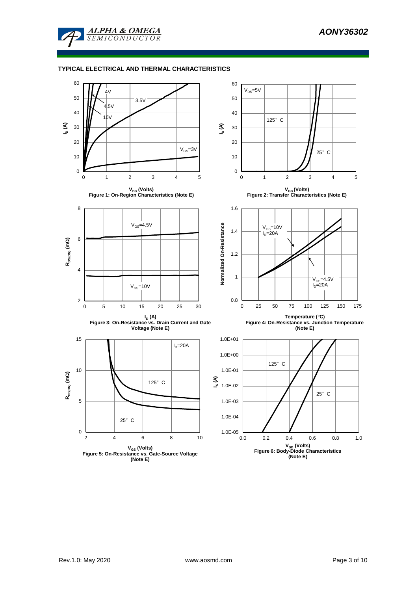

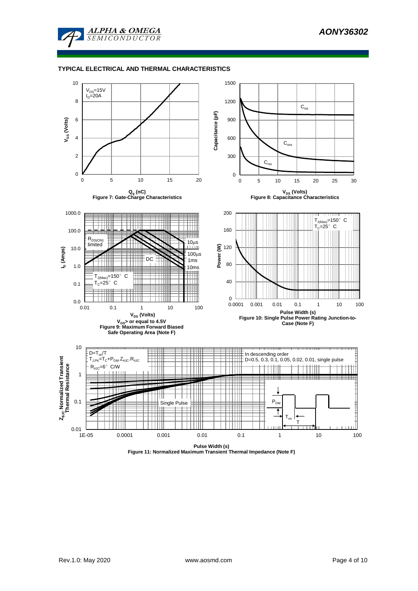



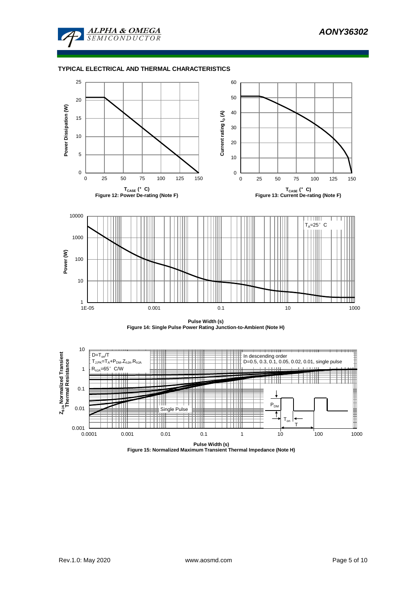







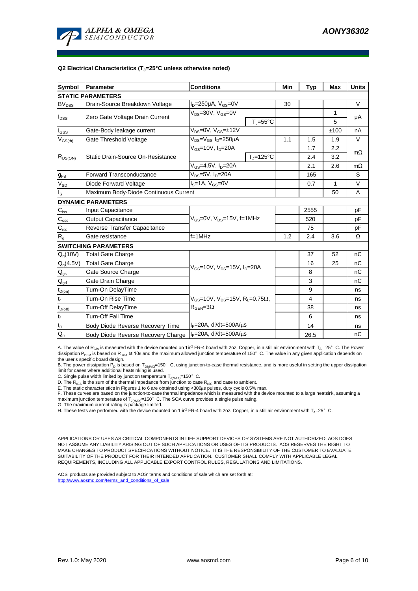

#### **Q2 Electrical Characteristics (TJ=25°C unless otherwise noted)**

| <b>Symbol</b>              | Parameter                             | <b>Conditions</b>                                                                           | Min                 | <b>Typ</b> | Max  | <b>Units</b> |           |  |  |
|----------------------------|---------------------------------------|---------------------------------------------------------------------------------------------|---------------------|------------|------|--------------|-----------|--|--|
| <b>STATIC PARAMETERS</b>   |                                       |                                                                                             |                     |            |      |              |           |  |  |
| $BV_{DSS}$                 | Drain-Source Breakdown Voltage        | $I_D = 250 \mu A$ , $V_{GS} = 0V$                                                           |                     | 30         |      |              | V         |  |  |
|                            | Zero Gate Voltage Drain Current       | $V_{DS}$ =30V, $V_{GS}$ =0V                                                                 |                     |            |      | 1            |           |  |  |
| $I_{DSS}$                  |                                       |                                                                                             | $T_i = 55^{\circ}C$ |            |      | 5            | μA        |  |  |
| $I_{GSS}$                  | Gate-Body leakage current             | $V_{DS} = 0V$ , $V_{GS} = \pm 12V$                                                          |                     |            |      | ±100         | nA        |  |  |
| $V_{GS(th)}$               | Gate Threshold Voltage                | $V_{DS} = V_{GS}$ , $I_D = 250 \mu A$                                                       |                     | 1.1        | 1.5  | 1.9          | V         |  |  |
|                            |                                       | $V_{GS}$ =10V, $I_{D}$ =20A                                                                 |                     |            | 1.7  | 2.2          | $m\Omega$ |  |  |
| $R_{DS(ON)}$               | Static Drain-Source On-Resistance     |                                                                                             | $T_J = 125$ °C      |            | 2.4  | 3.2          |           |  |  |
|                            |                                       | $V_{GS} = 4.5V, I_D = 20A$                                                                  |                     |            | 2.1  | 2.6          | $m\Omega$ |  |  |
| $g_{FS}$                   | <b>Forward Transconductance</b>       | $V_{DS} = 5V$ , $I_D = 20A$                                                                 |                     |            | 165  |              | S         |  |  |
| $V_{SD}$                   | Diode Forward Voltage                 | $IS=1A, VGS=0V$                                                                             |                     |            | 0.7  | 1            | V         |  |  |
| lls                        | Maximum Body-Diode Continuous Current |                                                                                             |                     |            | 50   | A            |           |  |  |
|                            | <b>DYNAMIC PARAMETERS</b>             |                                                                                             |                     |            |      |              |           |  |  |
| $C_{\rm iss}$              | Input Capacitance                     |                                                                                             |                     |            | 2555 |              | pF        |  |  |
| $C_{\rm oss}$              | <b>Output Capacitance</b>             | $V_{GS}$ =0V, $V_{DS}$ =15V, f=1MHz                                                         |                     | 520        |      | рF           |           |  |  |
| $\mathbf{C}_{\text{rss}}$  | Reverse Transfer Capacitance          |                                                                                             |                     | 75         |      | pF           |           |  |  |
| $\mathsf{R}_{\mathsf{g}}$  | Gate resistance                       | $f = 1$ MHz                                                                                 | 1.2                 | 2.4        | 3.6  | Ω            |           |  |  |
|                            | <b>SWITCHING PARAMETERS</b>           |                                                                                             |                     |            |      |              |           |  |  |
| $Q_g(10V)$                 | <b>Total Gate Charge</b>              |                                                                                             |                     |            | 37   | 52           | nC        |  |  |
| $Q_g(4.5V)$                | <b>Total Gate Charge</b>              | $V_{GS}$ =10V, $V_{DS}$ =15V, $I_D$ =20A                                                    |                     | 16         | 25   | nC           |           |  |  |
| $Q_{gs}$                   | Gate Source Charge                    |                                                                                             |                     | 8          |      | nC           |           |  |  |
| $\mathbf{Q}_{\text{gd}}$   | Gate Drain Charge                     |                                                                                             |                     | 3          |      | nC           |           |  |  |
| $t_{D(0n)}$                | Turn-On DelayTime                     |                                                                                             |                     |            | 9    |              | ns        |  |  |
| lt <sub>r</sub>            | Turn-On Rise Time                     | $V_{GS}$ =10V, $V_{DS}$ =15V, R <sub>1</sub> =0.75 $\Omega$ ,<br>$R_{\text{GEN}} = 3\Omega$ |                     |            | 4    |              | ns        |  |  |
| $t_{D(off)}$               | Turn-Off DelayTime                    |                                                                                             |                     |            | 38   |              | ns        |  |  |
| $t_f$                      | <b>Turn-Off Fall Time</b>             |                                                                                             |                     | 6          |      | ns           |           |  |  |
| $\mathsf{t}_{\mathsf{rr}}$ | Body Diode Reverse Recovery Time      | $I_F = 20A$ , di/dt=500A/ $\mu$ s                                                           |                     |            | 14   |              | ns        |  |  |
| $Q_{rr}$                   | Body Diode Reverse Recovery Charge    | $I_F = 20A$ , di/dt=500A/ $\mu$ s                                                           |                     | 26.5       |      | nC           |           |  |  |

A. The value of R<sub>91A</sub> is measured with the device mounted on 1in<sup>2</sup> FR-4 board with 2oz. Copper, in a still air environment with T<sub>A</sub> =25° C. The Power dissipation P<sub>DSM</sub> is based on R <sub>0JA</sub> t≤ 10s and the maximum allowed junction temperature of 150°C. The value in any given application depends on the user's specific board design.

B. The power dissipation P<sub>D</sub> is based on T<sub>J(MAX)</sub>=150°C, using junction-to-case thermal resistance, and is more useful in setting the upper dissipation<br>limit for cases where additional heatsinking is used.

C. Single pulse width limited by junction temperature  $T_{J(MAX)}$ =150°C.

D. The  $R_{q_1q_2}$  is the sum of the thermal impedance from junction to case  $R_{q_1q_2}$  and case to ambient.

E. The static characteristics in Figures 1 to 6 are obtained using <300us pulses, duty cycle 0.5% max.

F. These curves are based on the junction-to-case thermal impedance which is measured with the device mounted to a large heatsink, assuming a maximum junction temperature of  $T_{J(MAX)}$ =150°C. The SOA curve provides a single pulse rating.

G. The maximum current rating is package limited.

H. These tests are performed with the device mounted on 1 in? FR-4 board with 2oz. Copper, in a still air environment with  $T_a=25^\circ$  C.

APPLICATIONS OR USES AS CRITICAL COMPONENTS IN LIFE SUPPORT DEVICES OR SYSTEMS ARE NOT AUTHORIZED. AOS DOES NOT ASSUME ANY LIABILITY ARISING OUT OF SUCH APPLICATIONS OR USES OF ITS PRODUCTS. AOS RESERVES THE RIGHT TO MAKE CHANGES TO PRODUCT SPECIFICATIONS WITHOUT NOTICE. IT IS THE RESPONSIBILITY OF THE CUSTOMER TO EVALUATE SUITABILITY OF THE PRODUCT FOR THEIR INTENDED APPLICATION. CUSTOMER SHALL COMPLY WITH APPLICABLE LEGAL REQUIREMENTS, INCLUDING ALL APPLICABLE EXPORT CONTROL RULES, REGULATIONS AND LIMITATIONS.

AOS' products are provided subject to AOS' terms and conditions of sale which are set forth at: http://www.aosmd.com/terms\_and\_conditions\_of\_sale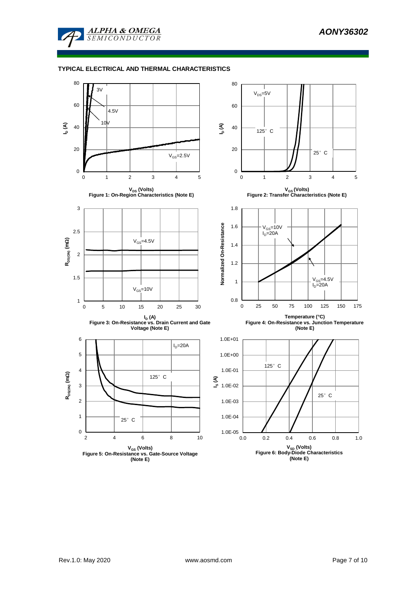

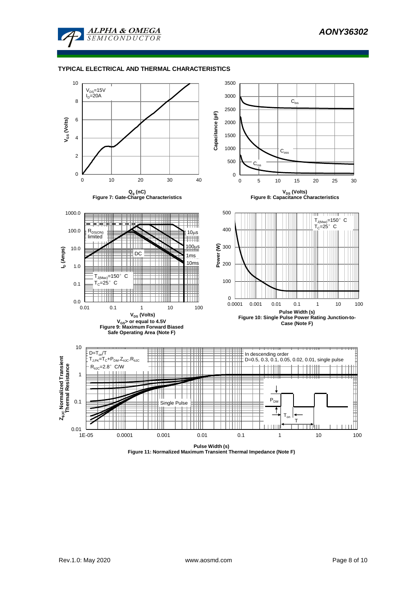



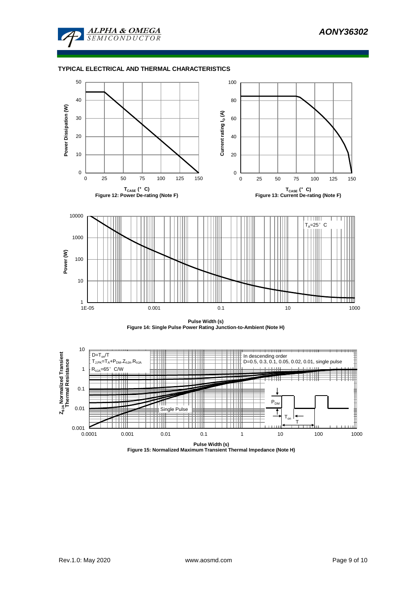